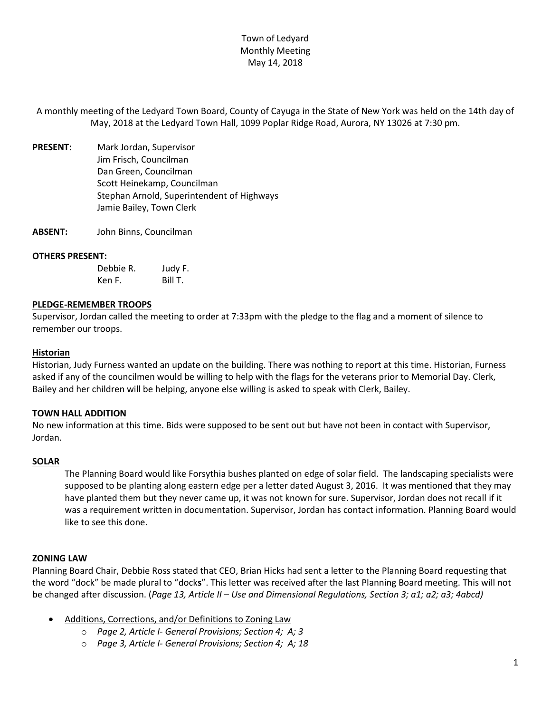A monthly meeting of the Ledyard Town Board, County of Cayuga in the State of New York was held on the 14th day of May, 2018 at the Ledyard Town Hall, 1099 Poplar Ridge Road, Aurora, NY 13026 at 7:30 pm.

- **PRESENT:** Mark Jordan, Supervisor Jim Frisch, Councilman Dan Green, Councilman Scott Heinekamp, Councilman Stephan Arnold, Superintendent of Highways Jamie Bailey, Town Clerk
- **ABSENT:** John Binns, Councilman

### **OTHERS PRESENT:**

| Debbie R. | Judy F. |
|-----------|---------|
| Ken F.    | Bill T. |

### **PLEDGE-REMEMBER TROOPS**

Supervisor, Jordan called the meeting to order at 7:33pm with the pledge to the flag and a moment of silence to remember our troops.

### **Historian**

Historian, Judy Furness wanted an update on the building. There was nothing to report at this time. Historian, Furness asked if any of the councilmen would be willing to help with the flags for the veterans prior to Memorial Day. Clerk, Bailey and her children will be helping, anyone else willing is asked to speak with Clerk, Bailey.

## **TOWN HALL ADDITION**

No new information at this time. Bids were supposed to be sent out but have not been in contact with Supervisor, Jordan.

### **SOLAR**

The Planning Board would like Forsythia bushes planted on edge of solar field. The landscaping specialists were supposed to be planting along eastern edge per a letter dated August 3, 2016. It was mentioned that they may have planted them but they never came up, it was not known for sure. Supervisor, Jordan does not recall if it was a requirement written in documentation. Supervisor, Jordan has contact information. Planning Board would like to see this done.

### **ZONING LAW**

Planning Board Chair, Debbie Ross stated that CEO, Brian Hicks had sent a letter to the Planning Board requesting that the word "dock" be made plural to "dock**s**". This letter was received after the last Planning Board meeting. This will not be changed after discussion. (*Page 13, Article II – Use and Dimensional Regulations, Section 3; a1; a2; a3; 4abcd)*

- Additions, Corrections, and/or Definitions to Zoning Law
	- o *Page 2, Article I- General Provisions; Section 4; A; 3*
	- o *Page 3, Article I- General Provisions; Section 4; A; 18*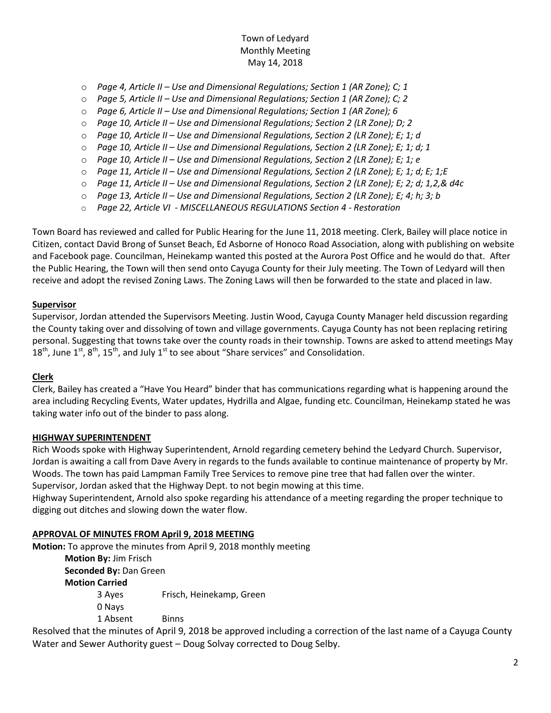- o *Page 4, Article II – Use and Dimensional Regulations; Section 1 (AR Zone); C; 1*
- o *Page 5, Article II – Use and Dimensional Regulations; Section 1 (AR Zone); C; 2*
- o *Page 6, Article II – Use and Dimensional Regulations; Section 1 (AR Zone); 6*
- o *Page 10, Article II – Use and Dimensional Regulations; Section 2 (LR Zone); D; 2*
- o *Page 10, Article II – Use and Dimensional Regulations, Section 2 (LR Zone); E; 1; d*
- o *Page 10, Article II – Use and Dimensional Regulations, Section 2 (LR Zone); E; 1; d; 1*
- o *Page 10, Article II – Use and Dimensional Regulations, Section 2 (LR Zone); E; 1; e*
- o *Page 11, Article II – Use and Dimensional Regulations, Section 2 (LR Zone); E; 1; d; E; 1;E*
- o *Page 11, Article II – Use and Dimensional Regulations, Section 2 (LR Zone); E; 2; d; 1,2,& d4c*
- o *Page 13, Article II – Use and Dimensional Regulations, Section 2 (LR Zone); E; 4; h; 3; b*
- o *Page 22, Article VI - MISCELLANEOUS REGULATIONS Section 4 - Restoration*

Town Board has reviewed and called for Public Hearing for the June 11, 2018 meeting. Clerk, Bailey will place notice in Citizen, contact David Brong of Sunset Beach, Ed Asborne of Honoco Road Association, along with publishing on website and Facebook page. Councilman, Heinekamp wanted this posted at the Aurora Post Office and he would do that. After the Public Hearing, the Town will then send onto Cayuga County for their July meeting. The Town of Ledyard will then receive and adopt the revised Zoning Laws. The Zoning Laws will then be forwarded to the state and placed in law.

## **Supervisor**

Supervisor, Jordan attended the Supervisors Meeting. Justin Wood, Cayuga County Manager held discussion regarding the County taking over and dissolving of town and village governments. Cayuga County has not been replacing retiring personal. Suggesting that towns take over the county roads in their township. Towns are asked to attend meetings May  $18^{th}$ , June  $1^{st}$ ,  $8^{th}$ ,  $15^{th}$ , and July  $1^{st}$  to see about "Share services" and Consolidation.

## **Clerk**

Clerk, Bailey has created a "Have You Heard" binder that has communications regarding what is happening around the area including Recycling Events, Water updates, Hydrilla and Algae, funding etc. Councilman, Heinekamp stated he was taking water info out of the binder to pass along.

## **HIGHWAY SUPERINTENDENT**

Rich Woods spoke with Highway Superintendent, Arnold regarding cemetery behind the Ledyard Church. Supervisor, Jordan is awaiting a call from Dave Avery in regards to the funds available to continue maintenance of property by Mr. Woods. The town has paid Lampman Family Tree Services to remove pine tree that had fallen over the winter. Supervisor, Jordan asked that the Highway Dept. to not begin mowing at this time.

Highway Superintendent, Arnold also spoke regarding his attendance of a meeting regarding the proper technique to digging out ditches and slowing down the water flow.

## **APPROVAL OF MINUTES FROM April 9, 2018 MEETING**

**Motion:** To approve the minutes from April 9, 2018 monthly meeting **Motion By:** Jim Frisch **Seconded By:** Dan Green **Motion Carried**  3 Ayes Frisch, Heinekamp, Green 0 Nays 1 Absent Binns

Resolved that the minutes of April 9, 2018 be approved including a correction of the last name of a Cayuga County Water and Sewer Authority guest – Doug Solvay corrected to Doug Selby.